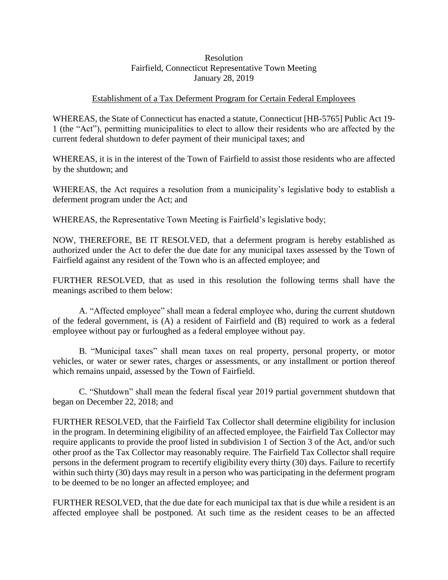## Resolution Fairfield, Connecticut Representative Town Meeting January 28, 2019

## Establishment of a Tax Deferment Program for Certain Federal Employees

WHEREAS, the State of Connecticut has enacted a statute, Connecticut [HB-5765] Public Act 19- 1 (the "Act"), permitting municipalities to elect to allow their residents who are affected by the current federal shutdown to defer payment of their municipal taxes; and

WHEREAS, it is in the interest of the Town of Fairfield to assist those residents who are affected by the shutdown; and

WHEREAS, the Act requires a resolution from a municipality's legislative body to establish a deferment program under the Act; and

WHEREAS, the Representative Town Meeting is Fairfield's legislative body;

NOW, THEREFORE, BE IT RESOLVED, that a deferment program is hereby established as authorized under the Act to defer the due date for any municipal taxes assessed by the Town of Fairfield against any resident of the Town who is an affected employee; and

FURTHER RESOLVED, that as used in this resolution the following terms shall have the meanings ascribed to them below:

A. "Affected employee" shall mean a federal employee who, during the current shutdown of the federal government, is (A) a resident of Fairfield and (B) required to work as a federal employee without pay or furloughed as a federal employee without pay.

B. "Municipal taxes" shall mean taxes on real property, personal property, or motor vehicles, or water or sewer rates, charges or assessments, or any installment or portion thereof which remains unpaid, assessed by the Town of Fairfield.

C. "Shutdown" shall mean the federal fiscal year 2019 partial government shutdown that began on December 22, 2018; and

FURTHER RESOLVED, that the Fairfield Tax Collector shall determine eligibility for inclusion in the program. In determining eligibility of an affected employee, the Fairfield Tax Collector may require applicants to provide the proof listed in subdivision 1 of Section 3 of the Act, and/or such other proof as the Tax Collector may reasonably require. The Fairfield Tax Collector shall require persons in the deferment program to recertify eligibility every thirty (30) days. Failure to recertify within such thirty (30) days may result in a person who was participating in the deferment program to be deemed to be no longer an affected employee; and

FURTHER RESOLVED, that the due date for each municipal tax that is due while a resident is an affected employee shall be postponed. At such time as the resident ceases to be an affected